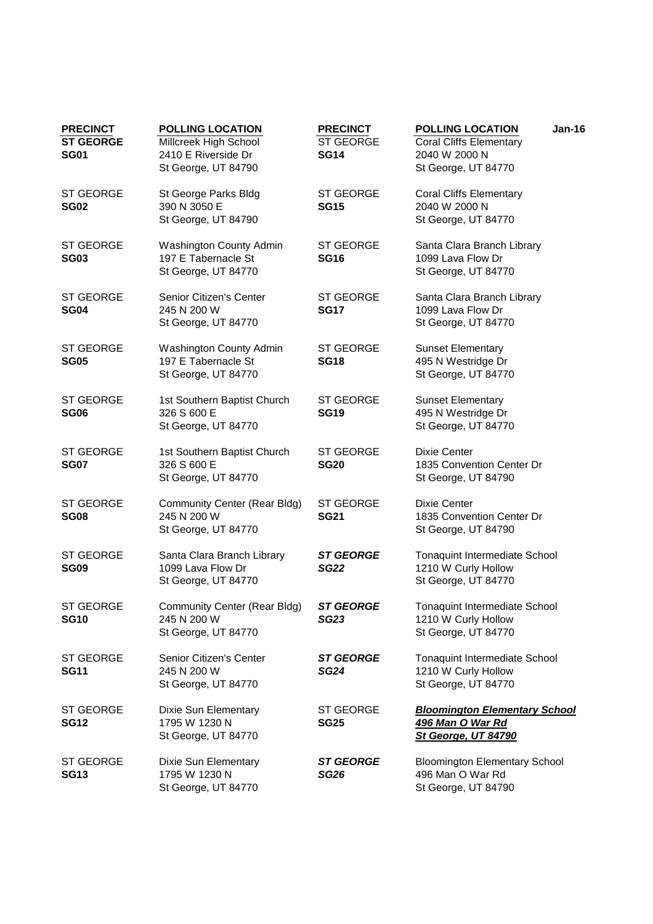| <b>PRECINCT</b><br><b>ST GEORGE</b><br><b>SG01</b> | <b>POLLING LOCATION</b><br>Millcreek High School<br>2410 E Riverside Dr<br>St George, UT 84790 | <b>PRECINCT</b><br><b>ST GEORGE</b><br><b>SG14</b> | <b>POLLING LOCATION</b><br>Jan-16<br><b>Coral Cliffs Elementary</b><br>2040 W 2000 N<br>St George, UT 84770 |
|----------------------------------------------------|------------------------------------------------------------------------------------------------|----------------------------------------------------|-------------------------------------------------------------------------------------------------------------|
| <b>ST GEORGE</b><br><b>SG02</b>                    | St George Parks Bldg<br>390 N 3050 E<br>St George, UT 84790                                    | <b>ST GEORGE</b><br><b>SG15</b>                    | <b>Coral Cliffs Elementary</b><br>2040 W 2000 N<br>St George, UT 84770                                      |
| <b>ST GEORGE</b><br><b>SG03</b>                    | <b>Washington County Admin</b><br>197 E Tabernacle St<br>St George, UT 84770                   | <b>ST GEORGE</b><br><b>SG16</b>                    | Santa Clara Branch Library<br>1099 Lava Flow Dr<br>St George, UT 84770                                      |
| <b>ST GEORGE</b><br><b>SG04</b>                    | Senior Citizen's Center<br>245 N 200 W<br>St George, UT 84770                                  | <b>ST GEORGE</b><br><b>SG17</b>                    | Santa Clara Branch Library<br>1099 Lava Flow Dr<br>St George, UT 84770                                      |
| <b>ST GEORGE</b><br><b>SG05</b>                    | <b>Washington County Admin</b><br>197 E Tabernacle St<br>St George, UT 84770                   | <b>ST GEORGE</b><br><b>SG18</b>                    | <b>Sunset Elementary</b><br>495 N Westridge Dr<br>St George, UT 84770                                       |
| <b>ST GEORGE</b><br><b>SG06</b>                    | 1st Southern Baptist Church<br>326 S 600 E<br>St George, UT 84770                              | ST GEORGE<br><b>SG19</b>                           | <b>Sunset Elementary</b><br>495 N Westridge Dr<br>St George, UT 84770                                       |
| <b>ST GEORGE</b><br><b>SG07</b>                    | 1st Southern Baptist Church<br>326 S 600 E<br>St George, UT 84770                              | <b>ST GEORGE</b><br><b>SG20</b>                    | Dixie Center<br>1835 Convention Center Dr<br>St George, UT 84790                                            |
| <b>ST GEORGE</b><br><b>SG08</b>                    | <b>Community Center (Rear Bldg)</b><br>245 N 200 W<br>St George, UT 84770                      | <b>ST GEORGE</b><br><b>SG21</b>                    | <b>Dixie Center</b><br>1835 Convention Center Dr<br>St George, UT 84790                                     |
| <b>ST GEORGE</b><br><b>SG09</b>                    | Santa Clara Branch Library<br>1099 Lava Flow Dr<br>St George, UT 84770                         | <b>ST GEORGE</b><br><b>SG22</b>                    | <b>Tonaquint Intermediate School</b><br>1210 W Curly Hollow<br>St George, UT 84770                          |
| <b>ST GEORGE</b><br><b>SG10</b>                    | <b>Community Center (Rear Bldg)</b><br>245 N 200 W<br>St George, UT 84770                      | <b>ST GEORGE</b><br><b>SG23</b>                    | <b>Tonaquint Intermediate School</b><br>1210 W Curly Hollow<br>St George, UT 84770                          |
| <b>ST GEORGE</b><br><b>SG11</b>                    | Senior Citizen's Center<br>245 N 200 W<br>St George, UT 84770                                  | <b>ST GEORGE</b><br><b>SG24</b>                    | Tonaquint Intermediate School<br>1210 W Curly Hollow<br>St George, UT 84770                                 |
| <b>ST GEORGE</b><br><b>SG12</b>                    | Dixie Sun Elementary<br>1795 W 1230 N<br>St George, UT 84770                                   | <b>ST GEORGE</b><br><b>SG25</b>                    | <b>Bloomington Elementary School</b><br><u>496 Man O War Rd</u><br>St George, UT 84790                      |
| <b>ST GEORGE</b><br><b>SG13</b>                    | Dixie Sun Elementary<br>1795 W 1230 N<br>St George, UT 84770                                   | <b>ST GEORGE</b><br>SG <sub>26</sub>               | <b>Bloomington Elementary School</b><br>496 Man O War Rd<br>St George, UT 84790                             |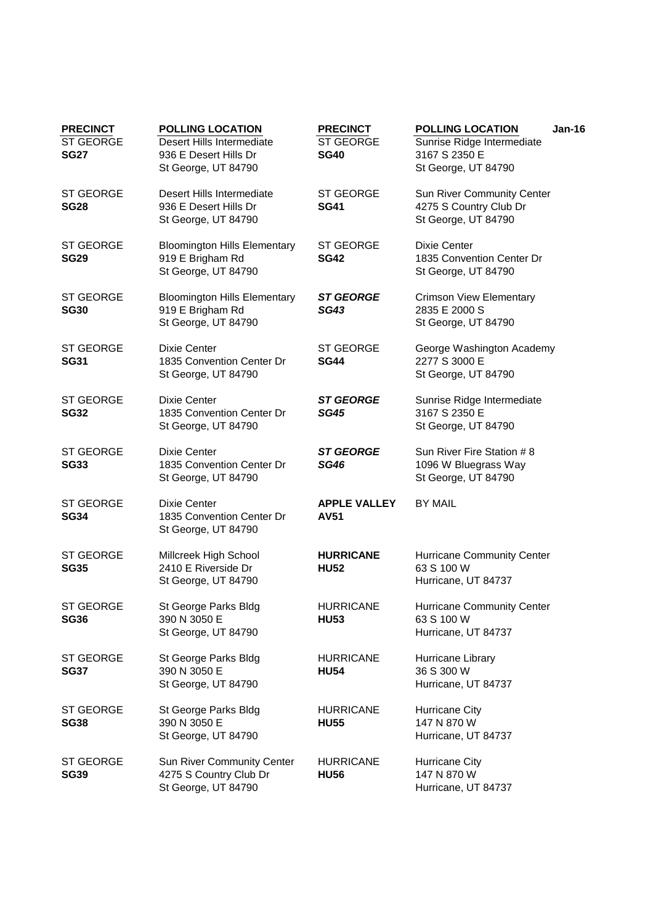| <b>PRECINCT</b><br><b>ST GEORGE</b><br><b>SG27</b> | <b>POLLING LOCATION</b><br>Desert Hills Intermediate<br>936 E Desert Hills Dr<br>St George, UT 84790 | <b>PRECINCT</b><br>ST GEORGE<br><b>SG40</b> | <b>POLLING LOCATION</b><br>$Jan-16$<br>Sunrise Ridge Intermediate<br>3167 S 2350 E<br>St George, UT 84790 |
|----------------------------------------------------|------------------------------------------------------------------------------------------------------|---------------------------------------------|-----------------------------------------------------------------------------------------------------------|
| <b>ST GEORGE</b><br><b>SG28</b>                    | Desert Hills Intermediate<br>936 E Desert Hills Dr<br>St George, UT 84790                            | <b>ST GEORGE</b><br><b>SG41</b>             | Sun River Community Center<br>4275 S Country Club Dr<br>St George, UT 84790                               |
| <b>ST GEORGE</b><br><b>SG29</b>                    | <b>Bloomington Hills Elementary</b><br>919 E Brigham Rd<br>St George, UT 84790                       | <b>ST GEORGE</b><br><b>SG42</b>             | <b>Dixie Center</b><br>1835 Convention Center Dr<br>St George, UT 84790                                   |
| <b>ST GEORGE</b><br><b>SG30</b>                    | <b>Bloomington Hills Elementary</b><br>919 E Brigham Rd<br>St George, UT 84790                       | <b>ST GEORGE</b><br><b>SG43</b>             | <b>Crimson View Elementary</b><br>2835 E 2000 S<br>St George, UT 84790                                    |
| <b>ST GEORGE</b><br><b>SG31</b>                    | <b>Dixie Center</b><br>1835 Convention Center Dr<br>St George, UT 84790                              | <b>ST GEORGE</b><br><b>SG44</b>             | George Washington Academy<br>2277 S 3000 E<br>St George, UT 84790                                         |
| <b>ST GEORGE</b><br><b>SG32</b>                    | <b>Dixie Center</b><br>1835 Convention Center Dr<br>St George, UT 84790                              | <b>ST GEORGE</b><br><b>SG45</b>             | Sunrise Ridge Intermediate<br>3167 S 2350 E<br>St George, UT 84790                                        |
| <b>ST GEORGE</b><br><b>SG33</b>                    | Dixie Center<br>1835 Convention Center Dr<br>St George, UT 84790                                     | <b>ST GEORGE</b><br><b>SG46</b>             | Sun River Fire Station # 8<br>1096 W Bluegrass Way<br>St George, UT 84790                                 |
| <b>ST GEORGE</b><br><b>SG34</b>                    | Dixie Center<br>1835 Convention Center Dr<br>St George, UT 84790                                     | <b>APPLE VALLEY</b><br><b>AV51</b>          | <b>BY MAIL</b>                                                                                            |
| <b>ST GEORGE</b><br><b>SG35</b>                    | Millcreek High School<br>2410 E Riverside Dr<br>St George, UT 84790                                  | <b>HURRICANE</b><br><b>HU52</b>             | <b>Hurricane Community Center</b><br>63 S 100 W<br>Hurricane, UT 84737                                    |
| <b>ST GEORGE</b><br><b>SG36</b>                    | St George Parks Bldg<br>390 N 3050 E<br>St George, UT 84790                                          | <b>HURRICANE</b><br><b>HU53</b>             | Hurricane Community Center<br>63 S 100 W<br>Hurricane, UT 84737                                           |
| ST GEORGE<br><b>SG37</b>                           | St George Parks Bldg<br>390 N 3050 E<br>St George, UT 84790                                          | <b>HURRICANE</b><br><b>HU54</b>             | Hurricane Library<br>36 S 300 W<br>Hurricane, UT 84737                                                    |
| <b>ST GEORGE</b><br><b>SG38</b>                    | St George Parks Bldg<br>390 N 3050 E<br>St George, UT 84790                                          | <b>HURRICANE</b><br><b>HU55</b>             | Hurricane City<br>147 N 870 W<br>Hurricane, UT 84737                                                      |
| <b>ST GEORGE</b><br><b>SG39</b>                    | Sun River Community Center<br>4275 S Country Club Dr<br>St George, UT 84790                          | <b>HURRICANE</b><br><b>HU56</b>             | <b>Hurricane City</b><br>147 N 870 W<br>Hurricane, UT 84737                                               |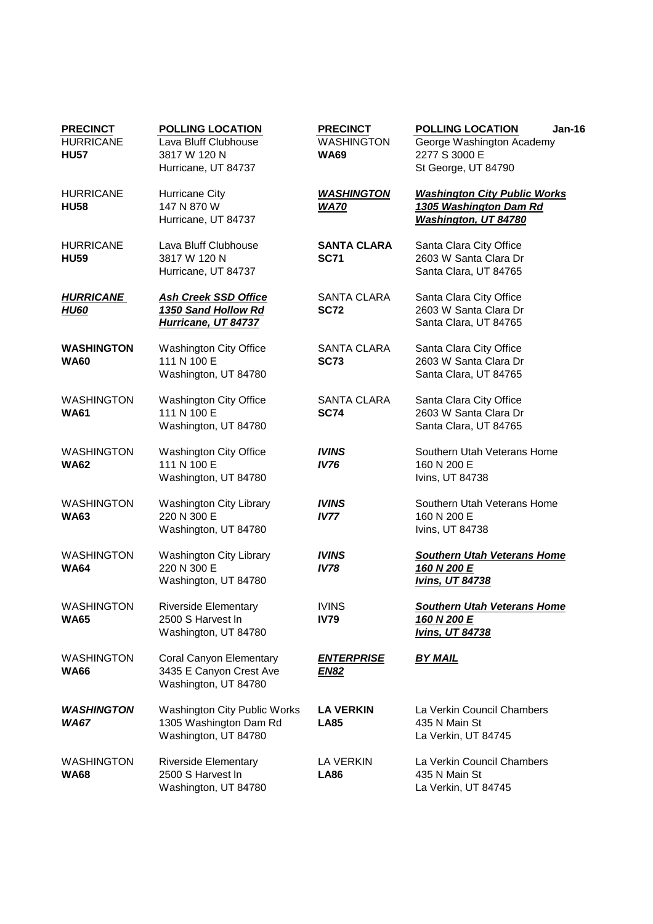| <b>PRECINCT</b><br><b>HURRICANE</b><br><b>HU57</b> | <b>POLLING LOCATION</b><br>Lava Bluff Clubhouse<br>3817 W 120 N<br>Hurricane, UT 84737 | <b>PRECINCT</b><br><b>WASHINGTON</b><br><b>WA69</b> | <b>POLLING LOCATION</b><br><b>Jan-16</b><br>George Washington Academy<br>2277 S 3000 E<br>St George, UT 84790 |
|----------------------------------------------------|----------------------------------------------------------------------------------------|-----------------------------------------------------|---------------------------------------------------------------------------------------------------------------|
| <b>HURRICANE</b><br><b>HU58</b>                    | Hurricane City<br>147 N 870 W<br>Hurricane, UT 84737                                   | <b>WASHINGTON</b><br><b>WA70</b>                    | <b>Washington City Public Works</b><br>1305 Washington Dam Rd<br>Washington, UT 84780                         |
| <b>HURRICANE</b><br><b>HU59</b>                    | Lava Bluff Clubhouse<br>3817 W 120 N<br>Hurricane, UT 84737                            | <b>SANTA CLARA</b><br><b>SC71</b>                   | Santa Clara City Office<br>2603 W Santa Clara Dr<br>Santa Clara, UT 84765                                     |
| <b>HURRICANE</b><br><b>HU60</b>                    | <b>Ash Creek SSD Office</b><br>1350 Sand Hollow Rd<br>Hurricane, UT 84737              | <b>SANTA CLARA</b><br><b>SC72</b>                   | Santa Clara City Office<br>2603 W Santa Clara Dr<br>Santa Clara, UT 84765                                     |
| <b>WASHINGTON</b><br><b>WA60</b>                   | Washington City Office<br>111 N 100 E<br>Washington, UT 84780                          | <b>SANTA CLARA</b><br><b>SC73</b>                   | Santa Clara City Office<br>2603 W Santa Clara Dr<br>Santa Clara, UT 84765                                     |
| <b>WASHINGTON</b><br><b>WA61</b>                   | <b>Washington City Office</b><br>111 N 100 E<br>Washington, UT 84780                   | <b>SANTA CLARA</b><br><b>SC74</b>                   | Santa Clara City Office<br>2603 W Santa Clara Dr<br>Santa Clara, UT 84765                                     |
| <b>WASHINGTON</b><br><b>WA62</b>                   | Washington City Office<br>111 N 100 E<br>Washington, UT 84780                          | <b>IVINS</b><br><b>IV76</b>                         | Southern Utah Veterans Home<br>160 N 200 E<br>Ivins, UT 84738                                                 |
| <b>WASHINGTON</b><br><b>WA63</b>                   | <b>Washington City Library</b><br>220 N 300 E<br>Washington, UT 84780                  | <b>IVINS</b><br><b>IV77</b>                         | Southern Utah Veterans Home<br>160 N 200 E<br>Ivins, UT 84738                                                 |
| <b>WASHINGTON</b><br><b>WA64</b>                   | Washington City Library<br>220 N 300 E<br>Washington, UT 84780                         | <b>IVINS</b><br><b>IV78</b>                         | <b>Southern Utah Veterans Home</b><br>160 N 200 E<br><b>Ivins, UT 84738</b>                                   |
| <b>WASHINGTON</b><br><b>WA65</b>                   | Riverside Elementary<br>2500 S Harvest In<br>Washington, UT 84780                      | <b>IVINS</b><br><b>IV79</b>                         | <b>Southern Utah Veterans Home</b><br>160 N 200 E<br><b>Ivins, UT 84738</b>                                   |
| <b>WASHINGTON</b><br><b>WA66</b>                   | Coral Canyon Elementary<br>3435 E Canyon Crest Ave<br>Washington, UT 84780             | <u>ENTERPRISE</u><br><u>EN82</u>                    | <b>BY MAIL</b>                                                                                                |
| <b>WASHINGTON</b><br>WA67                          | <b>Washington City Public Works</b><br>1305 Washington Dam Rd<br>Washington, UT 84780  | <b>LA VERKIN</b><br><b>LA85</b>                     | La Verkin Council Chambers<br>435 N Main St<br>La Verkin, UT 84745                                            |
| <b>WASHINGTON</b><br><b>WA68</b>                   | <b>Riverside Elementary</b><br>2500 S Harvest In<br>Washington, UT 84780               | LA VERKIN<br><b>LA86</b>                            | La Verkin Council Chambers<br>435 N Main St<br>La Verkin, UT 84745                                            |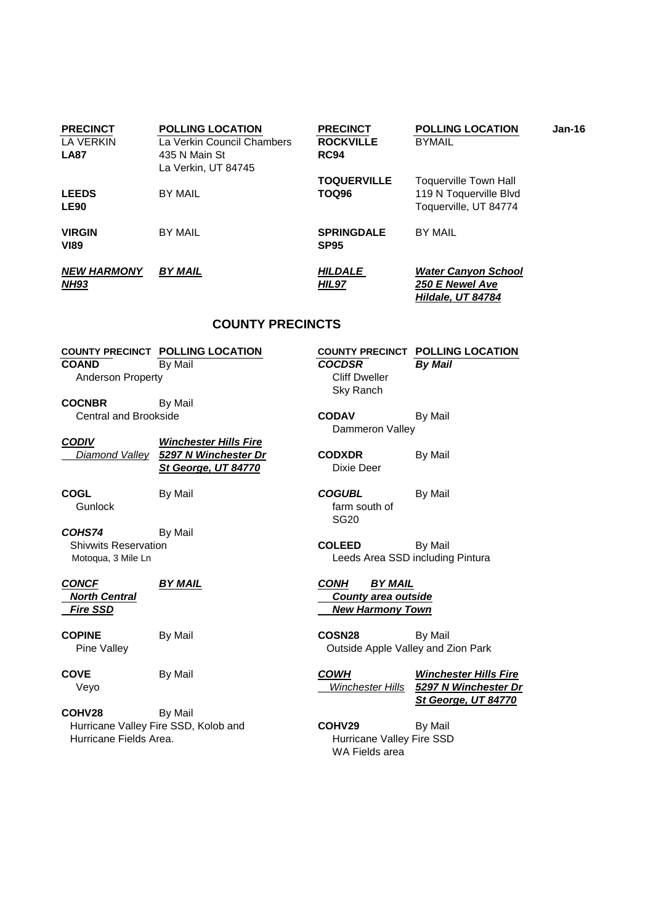| <b>PRECINCT</b><br>LA VERKIN<br><b>LA87</b> | <b>POLLING LOCATION</b><br>La Verkin Council Chambers<br>435 N Main St<br>La Verkin, UT 84745 | <b>PRECINCT</b><br><b>ROCKVILLE</b><br><b>RC94</b> | <b>POLLING LOCATION</b><br>$Jan-16$<br><b>BYMAIL</b>                            |
|---------------------------------------------|-----------------------------------------------------------------------------------------------|----------------------------------------------------|---------------------------------------------------------------------------------|
| <b>LEEDS</b><br><b>LE90</b>                 | <b>BY MAIL</b>                                                                                | <b>TOQUERVILLE</b><br><b>TOQ96</b>                 | <b>Toquerville Town Hall</b><br>119 N Toquerville Blvd<br>Toquerville, UT 84774 |
| <b>VIRGIN</b><br><b>VI89</b>                | <b>BY MAIL</b>                                                                                | <b>SPRINGDALE</b><br><b>SP95</b>                   | <b>BY MAIL</b>                                                                  |
| <b>NEW HARMONY</b><br><b>NH93</b>           | <b>BY MAIL</b>                                                                                | <b>HILDALE</b><br>HIL97                            | <b>Water Canyon School</b><br>250 E Newel Ave<br>Hildale, UT 84784              |
| <b>COUNTY PRECINCTS</b>                     |                                                                                               |                                                    |                                                                                 |

## **COUNTY PRECINCT POLLING LOCATION COUNTY PRECINCT POLLING LOCATION COAND** By Mail **COCDSR** By Mail

Anderson Property **Cliff Dweller** 

**COCNBR** By Mail **CODAV** By Mail

| <b>CODIV</b> | <b>Winchester Hills Fire</b>        |  |
|--------------|-------------------------------------|--|
|              | Diamond Valley 5297 N Winchester Dr |  |
|              | St George, UT 84770                 |  |

COHS74 By Mail Shivwits Reservation **COLEED** By Mail

COHV28 By Mail Hurricane Valley Fire SSD, Kolob and **COHV29** By Mail Hurricane Fields Area. The SSD Hurricane Valley Fire SSD

**COGL** By Mail **COGUBL** By Mail Gunlock **farm** south of SG20

Motoqua, 3 Mile Ln **Motogua, 3 Mile Ln** Leeds Area SSD including Pintura

**CONCF BY MAIL CONH BY MAIL North Central County area outside Fire SSD** New Harmony Town

Sky Ranch

**Dixie Deer** 

Dammeron Valley

**CODXDR** By Mail

**COPINE** By Mail **COSN28** By Mail Pine Valley **Dubility** Cutside Apple Valley and Zion Park

**COVE** By Mail **COWH Winchester Hills Fire**  Veyo Winchester Hills **5297 N Winchester Dr St George, UT 84770**

WA Fields area